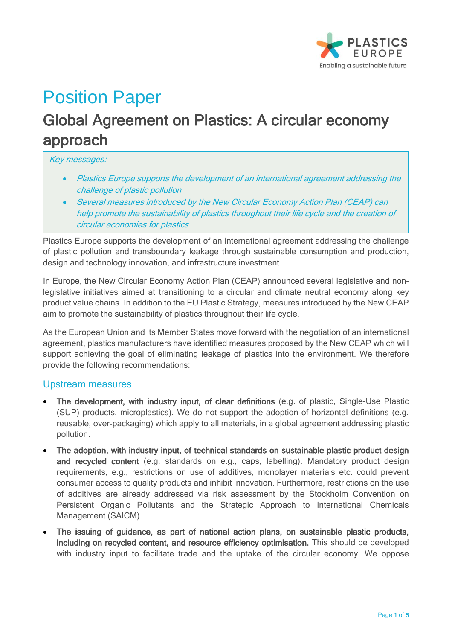

# Position Paper

## Global Agreement on Plastics: A circular economy approach

Key messages:

- Plastics Europe supports the development of an international agreement addressing the challenge of plastic pollution
- Several measures introduced by the New Circular Economy Action Plan (CEAP) can help promote the sustainability of plastics throughout their life cycle and the creation of circular economies for plastics.

Plastics Europe supports the development of an international agreement addressing the challenge of plastic pollution and transboundary leakage through sustainable consumption and production, design and technology innovation, and infrastructure investment.

In Europe, the New Circular Economy Action Plan (CEAP) announced several legislative and nonlegislative initiatives aimed at transitioning to a circular and climate neutral economy along key product value chains. In addition to the EU Plastic Strategy, measures introduced by the New CEAP aim to promote the sustainability of plastics throughout their life cycle.

As the European Union and its Member States move forward with the negotiation of an international agreement, plastics manufacturers have identified measures proposed by the New CEAP which will support achieving the goal of eliminating leakage of plastics into the environment. We therefore provide the following recommendations:

#### Upstream measures

- The development, with industry input, of clear definitions (e.g. of plastic, Single-Use Plastic (SUP) products, microplastics). We do not support the adoption of horizontal definitions (e.g. reusable, over-packaging) which apply to all materials, in a global agreement addressing plastic pollution.
- The adoption, with industry input, of technical standards on sustainable plastic product design and recycled content (e.g. standards on e.g., caps, labelling). Mandatory product design requirements, e.g., restrictions on use of additives, monolayer materials etc. could prevent consumer access to quality products and inhibit innovation. Furthermore, restrictions on the use of additives are already addressed via risk assessment by the Stockholm Convention on Persistent Organic Pollutants and the Strategic Approach to International Chemicals Management (SAICM).
- The issuing of guidance, as part of national action plans, on sustainable plastic products, including on recycled content, and resource efficiency optimisation. This should be developed with industry input to facilitate trade and the uptake of the circular economy. We oppose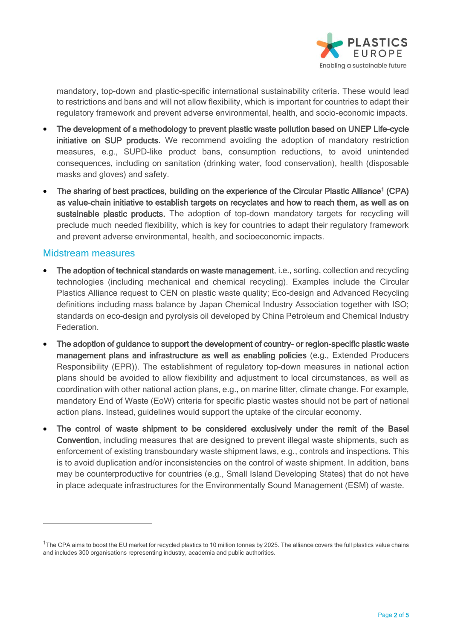

mandatory, top-down and plastic-specific international sustainability criteria. These would lead to restrictions and bans and will not allow flexibility, which is important for countries to adapt their regulatory framework and prevent adverse environmental, health, and socio-economic impacts.

- The development of a methodology to prevent plastic waste pollution based on UNEP Life-cycle initiative on SUP products. We recommend avoiding the adoption of mandatory restriction measures, e.g., SUPD-like product bans, consumption reductions, to avoid unintended consequences, including on sanitation (drinking water, food conservation), health (disposable masks and gloves) and safety.
- The sharing of best practices, building on the experience of the Circular Plastic Alliance<sup>1</sup> (CPA) as value-chain initiative to establish targets on recyclates and how to reach them, as well as on sustainable plastic products. The adoption of top-down mandatory targets for recycling will preclude much needed flexibility, which is key for countries to adapt their regulatory framework and prevent adverse environmental, health, and socioeconomic impacts.

#### Midstream measures

- The adoption of technical standards on waste management, i.e., sorting, collection and recycling technologies (including mechanical and chemical recycling). Examples include the Circular Plastics Alliance request to CEN on plastic waste quality; Eco-design and Advanced Recycling definitions including mass balance by Japan Chemical Industry Association together with ISO; standards on eco-design and pyrolysis oil developed by China Petroleum and Chemical Industry **Federation**
- The adoption of guidance to support the development of country- or region-specific plastic waste management plans and infrastructure as well as enabling policies (e.g., Extended Producers Responsibility (EPR)). The establishment of regulatory top-down measures in national action plans should be avoided to allow flexibility and adjustment to local circumstances, as well as coordination with other national action plans, e.g., on marine litter, climate change. For example, mandatory End of Waste (EoW) criteria for specific plastic wastes should not be part of national action plans. Instead, guidelines would support the uptake of the circular economy.
- The control of waste shipment to be considered exclusively under the remit of the Basel Convention, including measures that are designed to prevent illegal waste shipments, such as enforcement of existing transboundary waste shipment laws, e.g., controls and inspections. This is to avoid duplication and/or inconsistencies on the control of waste shipment. In addition, bans may be counterproductive for countries (e.g., Small Island Developing States) that do not have in place adequate infrastructures for the Environmentally Sound Management (ESM) of waste.

<sup>&</sup>lt;sup>1</sup>The CPA aims to boost the EU market for recycled plastics to 10 million tonnes by 2025. The alliance covers the full plastics value chains and includes 300 organisations representing industry, academia and public authorities.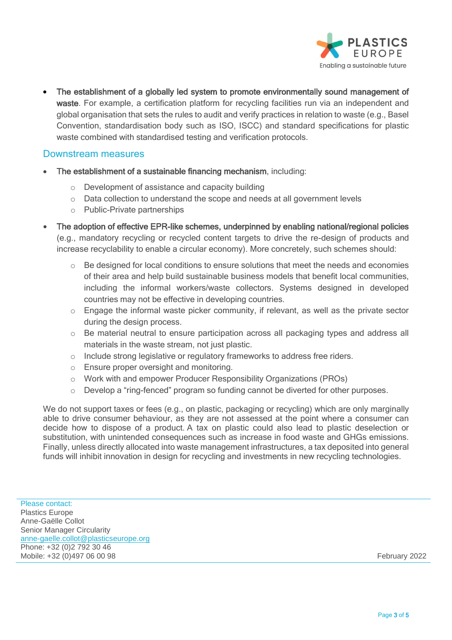

• The establishment of a globally led system to promote environmentally sound management of waste. For example, a certification platform for recycling facilities run via an independent and global organisation that sets the rules to audit and verify practices in relation to waste (e.g., Basel Convention, standardisation body such as ISO, ISCC) and standard specifications for plastic waste combined with standardised testing and verification protocols.

#### Downstream measures

- The establishment of a sustainable financing mechanism, including:
	- o Development of assistance and capacity building
	- $\circ$  Data collection to understand the scope and needs at all government levels
	- o Public-Private partnerships
- The adoption of effective EPR-like schemes, underpinned by enabling national/regional policies (e.g., mandatory recycling or recycled content targets to drive the re-design of products and increase recyclability to enable a circular economy). More concretely, such schemes should:
	- $\circ$  Be designed for local conditions to ensure solutions that meet the needs and economies of their area and help build sustainable business models that benefit local communities, including the informal workers/waste collectors. Systems designed in developed countries may not be effective in developing countries.
	- o Engage the informal waste picker community, if relevant, as well as the private sector during the design process.
	- o Be material neutral to ensure participation across all packaging types and address all materials in the waste stream, not just plastic.
	- o Include strong legislative or regulatory frameworks to address free riders.
	- o Ensure proper oversight and monitoring.
	- o Work with and empower Producer Responsibility Organizations (PROs)
	- $\circ$  Develop a "ring-fenced" program so funding cannot be diverted for other purposes.

We do not support taxes or fees (e.g., on plastic, packaging or recycling) which are only marginally able to drive consumer behaviour, as they are not assessed at the point where a consumer can decide how to dispose of a product. A tax on plastic could also lead to plastic deselection or substitution, with unintended consequences such as increase in food waste and GHGs emissions. Finally, unless directly allocated into waste management infrastructures, a tax deposited into general funds will inhibit innovation in design for recycling and investments in new recycling technologies.

Please contact: Plastics Europe Anne-Gaëlle Collot Senior Manager Circularity [anne-gaelle.collot@plasticseurope.org](mailto:anne-gaelle.collot@plasticseurope.org) Phone: +32 (0)2 792 30 46 Mobile: +32 (0)497 06 00 98 February 2022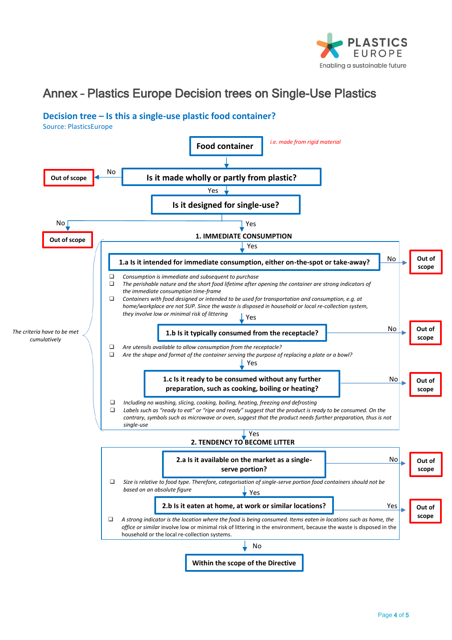

### Annex – Plastics Europe Decision trees on Single-Use Plastics

#### **Decision tree – Is this a single-use plastic food container?**

Source: PlasticsEurope